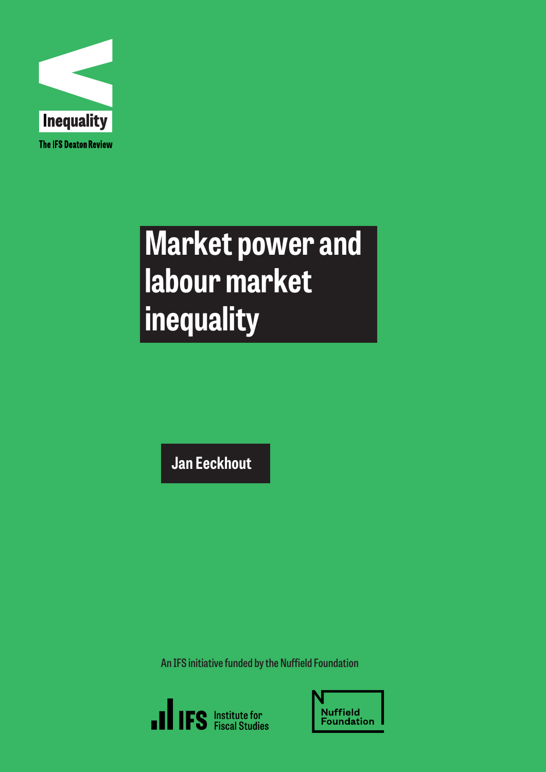

# **Market power and labour market inequality**

**Jan Eeckhout** 

**An IFS initiative funded by the Nuffield Foundation**



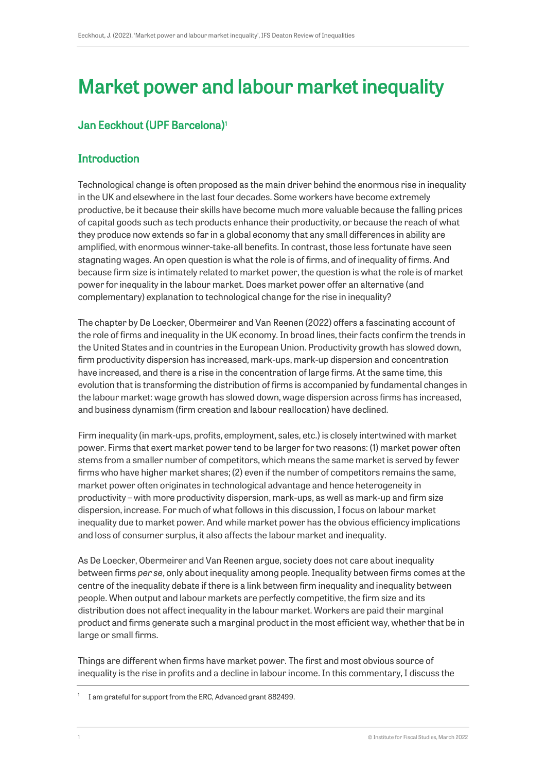# Market power and labour market inequality

# Jan Eeckhout (UPF Barcelona)[1](#page-1-0)

# **Introduction**

Technological change is often proposed as the main driver behind the enormous rise in inequality in the UK and elsewhere in the last four decades. Some workers have become extremely productive, be it because their skills have become much more valuable because the falling prices of capital goods such as tech products enhance their productivity, or because the reach of what they produce now extends so far in a global economy that any small differences in ability are amplified, with enormous winner-take-all benefits. In contrast, those less fortunate have seen stagnating wages. An open question is what the role is of firms, and of inequality of firms. And because firm size is intimately related to market power, the question is what the role is of market power for inequality in the labour market. Does market power offer an alternative (and complementary) explanation to technological change for the rise in inequality?

The chapter by De Loecker, Obermeirer and Van Reenen (2022) offers a fascinating account of the role of firms and inequality in the UK economy. In broad lines, their facts confirm the trends in the United States and in countries in the European Union. Productivity growth has slowed down, firm productivity dispersion has increased, mark-ups, mark-up dispersion and concentration have increased, and there is a rise in the concentration of large firms. At the same time, this evolution that is transforming the distribution of firms is accompanied by fundamental changes in the labour market: wage growth has slowed down, wage dispersion across firms has increased, and business dynamism (firm creation and labour reallocation) have declined.

Firm inequality (in mark-ups, profits, employment, sales, etc.) is closely intertwined with market power. Firms that exert market power tend to be larger for two reasons: (1) market power often stems from a smaller number of competitors, which means the same market is served by fewer firms who have higher market shares; (2) even if the number of competitors remains the same, market power often originates in technological advantage and hence heterogeneity in productivity – with more productivity dispersion, mark-ups, as well as mark-up and firm size dispersion, increase. For much of what follows in this discussion, I focus on labour market inequality due to market power. And while market power has the obvious efficiency implications and loss of consumer surplus, it also affects the labour market and inequality.

As De Loecker, Obermeirer and Van Reenen argue, society does not care about inequality between firms *per se*, only about inequality among people. Inequality between firms comes at the centre of the inequality debate if there is a link between firm inequality and inequality between people. When output and labour markets are perfectly competitive, the firm size and its distribution does not affect inequality in the labour market. Workers are paid their marginal product and firms generate such a marginal product in the most efficient way, whether that be in large or small firms.

Things are different when firms have market power. The first and most obvious source of inequality is the rise in profits and a decline in labour income. In this commentary, I discuss the

<span id="page-1-0"></span><sup>&</sup>lt;sup>1</sup> I am grateful for support from the ERC, Advanced grant 882499.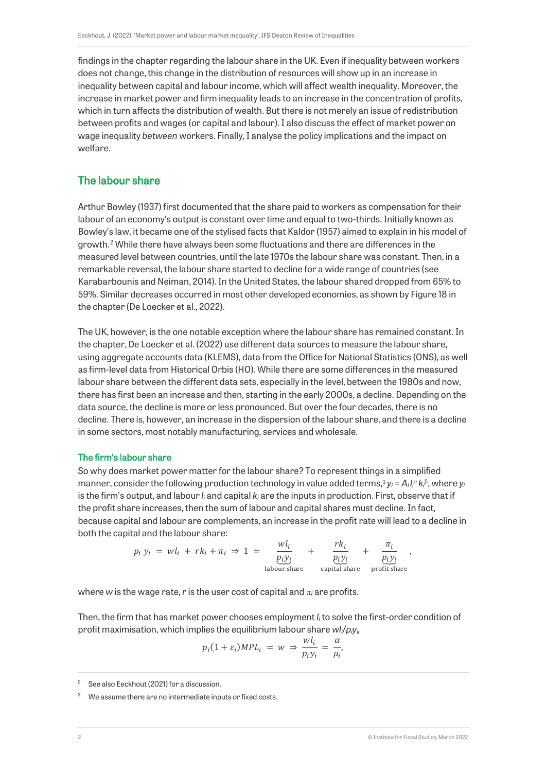findings in the chapter regarding the labour share in the UK. Even if inequality between workers does not change, this change in the distribution of resources will show up in an increase in inequality between capital and labour income, which will affect wealth inequality. Moreover, the increase in market power and firm inequality leads to an increase in the concentration of profits, which in turn affects the distribution of wealth. But there is not merely an issue of redistribution between profits and wages (or capital and labour). I also discuss the effect of market power on wage inequality *between* workers. Finally, I analyse the policy implications and the impact on welfare.

### The labour share

Arthur Bowley (1937) first documented that the share paid to workers as compensation for their labour of an economy's output is constant over time and equal to two-thirds. Initially known as Bowley's law, it became one of the stylised facts that Kaldor (1957) aimed to explain in his model of growth.<sup>[2](#page-2-0)</sup> While there have always been some fluctuations and there are differences in the measured level between countries, until the late 1970s the labour share was constant. Then, in a remarkable reversal, the labour share started to decline for a wide range of countries (see Karabarbounis and Neiman, 2014). In the United States, the labour shared dropped from 65% to 59%. Similar decreases occurred in most other developed economies, as shown by Figure 18 in the chapter (De Loecker et al., 2022).

The UK, however, is the one notable exception where the labour share has remained constant. In the chapter, De Loecker et al. (2022) use different data sources to measure the labour share, using aggregate accounts data (KLEMS), data from the Office for National Statistics (ONS), as well as firm-level data from Historical Orbis (HO). While there are some differences in the measured labour share between the different data sets, especially in the level, between the 1980s and now, there has first been an increase and then, starting in the early 2000s, a decline. Depending on the data source, the decline is more or less pronounced. But over the four decades, there is no decline. There is, however, an increase in the dispersion of the labour share, and there is a decline in some sectors, most notably manufacturing, services and wholesale.

#### The firm's labour share

So why does market power matter for the labour share? To represent things in a simplified manner, consider the following production technology in value added terms,[3](#page-2-1) *yi* = *Ai li* <sup>α</sup> *ki* <sup>β</sup>, where *yi* is the firm's output, and labour *li* and capital *ki* are the inputs in production. First, observe that if the profit share increases, then the sum of labour and capital shares must decline. In fact, because capital and labour are complements, an increase in the profit rate will lead to a decline in both the capital and the labour share:

$$
p_i y_i = w l_i + r k_i + \pi_i \Rightarrow 1 = \underbrace{\frac{w l_i}{p_i y_i}}_{\text{labour share}} + \underbrace{\frac{r k_i}{p_i y_i}}_{\text{capital share}} + \underbrace{\frac{\pi_i}{p_i y_i}}_{\text{profit share}} ,
$$

where *w* is the wage rate, *r* is the user cost of capital and  $\pi_i$  are profits.

Then, the firm that has market power chooses employment *li* to solve the first-order condition of profit maximisation, which implies the equilibrium labour share *wli*/*piyi,*

$$
p_i(1+\varepsilon_i)MPL_i = w \Rightarrow \frac{wl_i}{p_iy_i} = \frac{\alpha}{\mu_i}
$$

<span id="page-2-0"></span><sup>2</sup> See also Eeckhout (2021) for a discussion.

<span id="page-2-1"></span>We assume there are no intermediate inputs or fixed costs.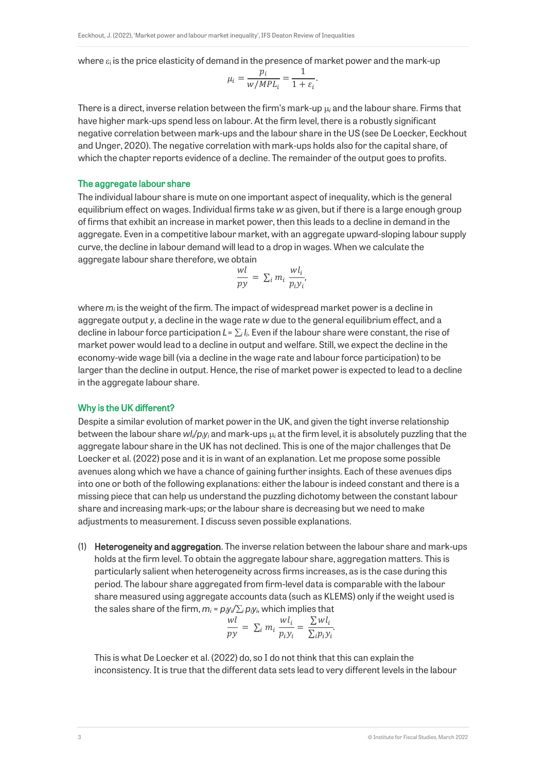where  $\varepsilon_i$  is the price elasticity of demand in the presence of market power and the mark-up

$$
\mu_i = \frac{p_i}{w/MPL_i} = \frac{1}{1+\varepsilon_i}.
$$

There is a direct, inverse relation between the firm's mark-up µ*<sup>i</sup>* and the labour share. Firms that have higher mark-ups spend less on labour. At the firm level, there is a robustly significant negative correlation between mark-ups and the labour share in the US (see De Loecker, Eeckhout and Unger, 2020). The negative correlation with mark-ups holds also for the capital share, of which the chapter reports evidence of a decline. The remainder of the output goes to profits.

#### The aggregate labour share

The individual labour share is mute on one important aspect of inequality, which is the general equilibrium effect on wages. Individual firms take *w* as given, but if there is a large enough group of firms that exhibit an increase in market power, then this leads to a decline in demand in the aggregate. Even in a competitive labour market, with an aggregate upward-sloping labour supply curve, the decline in labour demand will lead to a drop in wages. When we calculate the aggregate labour share therefore, we obtain

$$
\frac{wl}{py} = \sum_i m_i \frac{wl_i}{p_i y_i},
$$

where *mi* is the weight of the firm. The impact of widespread market power is a decline in aggregate output *y*, a decline in the wage rate *w* due to the general equilibrium effect, and a decline in labour force participation  $L = \sum_i l_i$ . Even if the labour share were constant, the rise of market power would lead to a decline in output and welfare. Still, we expect the decline in the economy-wide wage bill (via a decline in the wage rate and labour force participation) to be larger than the decline in output. Hence, the rise of market power is expected to lead to a decline in the aggregate labour share.

#### Why is the UK different?

Despite a similar evolution of market power in the UK, and given the tight inverse relationship between the labour share *wli*/*piyi* and mark-ups µ*<sup>i</sup>* at the firm level, it is absolutely puzzling that the aggregate labour share in the UK has not declined. This is one of the major challenges that De Loecker et al. (2022) pose and it is in want of an explanation. Let me propose some possible avenues along which we have a chance of gaining further insights. Each of these avenues dips into one or both of the following explanations: either the labour is indeed constant and there is a missing piece that can help us understand the puzzling dichotomy between the constant labour share and increasing mark-ups; or the labour share is decreasing but we need to make adjustments to measurement. I discuss seven possible explanations.

(1) Heterogeneity and aggregation. The inverse relation between the labour share and mark-ups holds at the firm level. To obtain the aggregate labour share, aggregation matters. This is particularly salient when heterogeneity across firms increases, as is the case during this period. The labour share aggregated from firm-level data is comparable with the labour share measured using aggregate accounts data (such as KLEMS) only if the weight used is the sales share of the firm,  $m_i = p_i y_i / \sum_i p_i y_i$ , which implies that

$$
\frac{wl}{py} = \sum_i m_i \frac{wl_i}{p_i y_i} = \frac{\sum w l_i}{\sum_i p_i y_i}.
$$

This is what De Loecker et al. (2022) do, so I do not think that this can explain the inconsistency. It is true that the different data sets lead to very different levels in the labour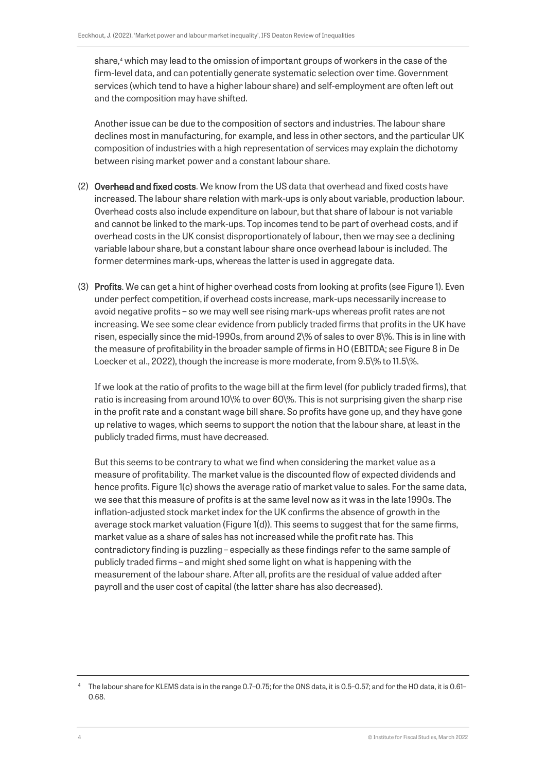share,<sup>[4](#page-4-0)</sup> which may lead to the omission of important groups of workers in the case of the firm-level data, and can potentially generate systematic selection over time. Government services (which tend to have a higher labour share) and self-employment are often left out and the composition may have shifted.

Another issue can be due to the composition of sectors and industries. The labour share declines most in manufacturing, for example, and less in other sectors, and the particular UK composition of industries with a high representation of services may explain the dichotomy between rising market power and a constant labour share.

- (2) Overhead and fixed costs. We know from the US data that overhead and fixed costs have increased. The labour share relation with mark-ups is only about variable, production labour. Overhead costs also include expenditure on labour, but that share of labour is not variable and cannot be linked to the mark-ups. Top incomes tend to be part of overhead costs, and if overhead costs in the UK consist disproportionately of labour, then we may see a declining variable labour share, but a constant labour share once overhead labour is included. The former determines mark-ups, whereas the latter is used in aggregate data.
- (3) Profits. We can get a hint of higher overhead costs from looking at profits (see Figure 1). Even under perfect competition, if overhead costs increase, mark-ups necessarily increase to avoid negative profits – so we may well see rising mark-ups whereas profit rates are not increasing. We see some clear evidence from publicly traded firms that profits in the UK have risen, especially since the mid-1990s, from around 2\% of sales to over 8\%. This is in line with the measure of profitability in the broader sample of firms in HO (EBITDA; see Figure 8 in De Loecker et al., 2022), though the increase is more moderate, from 9.5\% to 11.5\%.

If we look at the ratio of profits to the wage bill at the firm level (for publicly traded firms), that ratio is increasing from around 10\% to over 60\%. This is not surprising given the sharp rise in the profit rate and a constant wage bill share. So profits have gone up, and they have gone up relative to wages, which seems to support the notion that the labour share, at least in the publicly traded firms, must have decreased.

But this seems to be contrary to what we find when considering the market value as a measure of profitability. The market value is the discounted flow of expected dividends and hence profits. Figure 1(c) shows the average ratio of market value to sales. For the same data, we see that this measure of profits is at the same level now as it was in the late 1990s. The inflation-adjusted stock market index for the UK confirms the absence of growth in the average stock market valuation (Figure 1(d)). This seems to suggest that for the same firms, market value as a share of sales has not increased while the profit rate has. This contradictory finding is puzzling – especially as these findings refer to the same sample of publicly traded firms – and might shed some light on what is happening with the measurement of the labour share. After all, profits are the residual of value added after payroll and the user cost of capital (the latter share has also decreased).

<span id="page-4-0"></span><sup>4</sup> The labour share for KLEMS data is in the range 0.7–0.75; for the ONS data, it is 0.5–0.57; and for the HO data, it is 0.61– 0.68.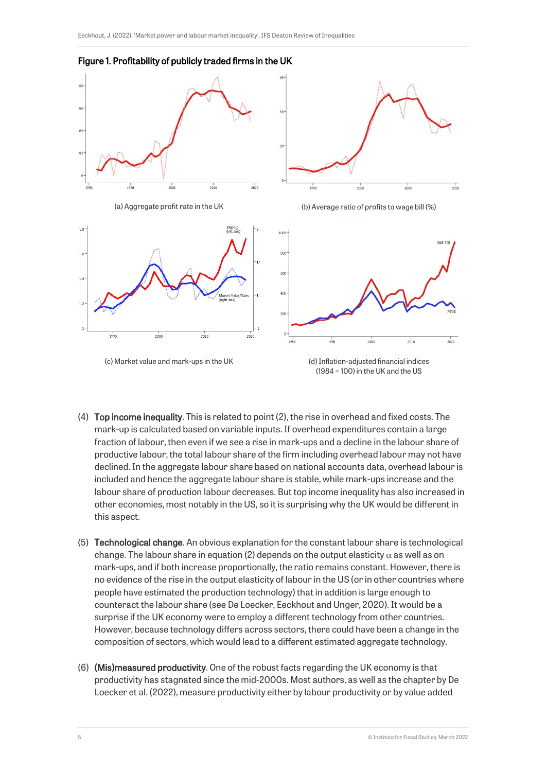

#### Figure 1. Profitability of publicly traded firms in the UK

- (4) Top income inequality. This is related to point (2), the rise in overhead and fixed costs. The mark-up is calculated based on variable inputs. If overhead expenditures contain a large fraction of labour, then even if we see a rise in mark-ups and a decline in the labour share of productive labour, the total labour share of the firm including overhead labour may not have declined. In the aggregate labour share based on national accounts data, overhead labour is included and hence the aggregate labour share is stable, while mark-ups increase and the labour share of production labour decreases. But top income inequality has also increased in other economies, most notably in the US, so it is surprising why the UK would be different in this aspect.
- (5) Technological change. An obvious explanation for the constant labour share is technological change. The labour share in equation (2) depends on the output elasticity  $\alpha$  as well as on mark-ups, and if both increase proportionally, the ratio remains constant. However, there is no evidence of the rise in the output elasticity of labour in the US (or in other countries where people have estimated the production technology) that in addition is large enough to counteract the labour share (see De Loecker, Eeckhout and Unger, 2020). It would be a surprise if the UK economy were to employ a different technology from other countries. However, because technology differs across sectors, there could have been a change in the composition of sectors, which would lead to a different estimated aggregate technology.
- (6) (Mis)measured productivity. One of the robust facts regarding the UK economy is that productivity has stagnated since the mid-2000s. Most authors, as well as the chapter by De Loecker et al. (2022), measure productivity either by labour productivity or by value added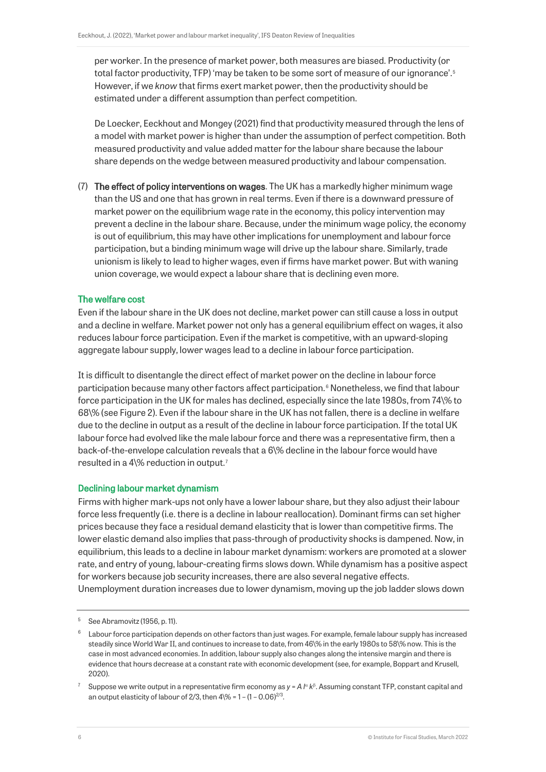per worker. In the presence of market power, both measures are biased. Productivity (or total factor productivity, TFP) 'may be taken to be some sort of measure of our ignorance'.<sup>[5](#page-6-0)</sup> However, if we *know* that firms exert market power, then the productivity should be estimated under a different assumption than perfect competition.

De Loecker, Eeckhout and Mongey (2021) find that productivity measured through the lens of a model with market power is higher than under the assumption of perfect competition. Both measured productivity and value added matter for the labour share because the labour share depends on the wedge between measured productivity and labour compensation.

(7) The effect of policy interventions on wages. The UK has a markedly higher minimum wage than the US and one that has grown in real terms. Even if there is a downward pressure of market power on the equilibrium wage rate in the economy, this policy intervention may prevent a decline in the labour share. Because, under the minimum wage policy, the economy is out of equilibrium, this may have other implications for unemployment and labour force participation, but a binding minimum wage will drive up the labour share. Similarly, trade unionism is likely to lead to higher wages, even if firms have market power. But with waning union coverage, we would expect a labour share that is declining even more.

#### The welfare cost

Even if the labour share in the UK does not decline, market power can still cause a loss in output and a decline in welfare. Market power not only has a general equilibrium effect on wages, it also reduces labour force participation. Even if the market is competitive, with an upward-sloping aggregate labour supply, lower wages lead to a decline in labour force participation.

It is difficult to disentangle the direct effect of market power on the decline in labour force participation because many other factors affect participation.<sup>[6](#page-6-1)</sup> Nonetheless, we find that labour force participation in the UK for males has declined, especially since the late 1980s, from 74\% to 68\% (see Figure 2). Even if the labour share in the UK has not fallen, there is a decline in welfare due to the decline in output as a result of the decline in labour force participation. If the total UK labour force had evolved like the male labour force and there was a representative firm, then a back-of-the-envelope calculation reveals that a 6\% decline in the labour force would have resulted in a 4\% reduction in output. [7](#page-6-2)

#### Declining labour market dynamism

Firms with higher mark-ups not only have a lower labour share, but they also adjust their labour force less frequently (i.e. there is a decline in labour reallocation). Dominant firms can set higher prices because they face a residual demand elasticity that is lower than competitive firms. The lower elastic demand also implies that pass-through of productivity shocks is dampened. Now, in equilibrium, this leads to a decline in labour market dynamism: workers are promoted at a slower rate, and entry of young, labour-creating firms slows down. While dynamism has a positive aspect for workers because job security increases, there are also several negative effects. Unemployment duration increases due to lower dynamism, moving up the job ladder slows down

<span id="page-6-0"></span><sup>5</sup> See Abramovitz (1956, p. 11).

<span id="page-6-1"></span> $6$  Labour force participation depends on other factors than just wages. For example, female labour supply has increased steadily since World War II, and continues to increase to date, from 46\% in the early 1980s to 58\% now. This is the case in most advanced economies. In addition, labour supply also changes along the intensive margin and there is evidence that hours decrease at a constant rate with economic development (see, for example, Boppart and Krusell, 2020).

<span id="page-6-2"></span><sup>7</sup> Suppose we write output in a representative firm economy as *y* = *A l*<sup>α</sup> *k*<sup>β</sup> . Assuming constant TFP, constant capital and an output elasticity of labour of 2/3, then  $4\frac{1}{6}$  = 1 - (1 - 0.06) $^{2/3}$ .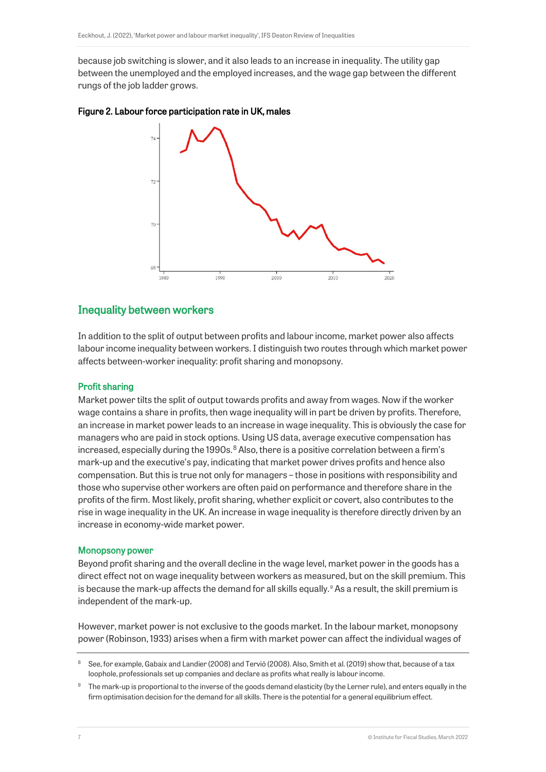because job switching is slower, and it also leads to an increase in inequality. The utility gap between the unemployed and the employed increases, and the wage gap between the different rungs of the job ladder grows.





### Inequality between workers

In addition to the split of output between profits and labour income, market power also affects labour income inequality between workers. I distinguish two routes through which market power affects between-worker inequality: profit sharing and monopsony.

#### Profit sharing

Market power tilts the split of output towards profits and away from wages. Now if the worker wage contains a share in profits, then wage inequality will in part be driven by profits. Therefore, an increase in market power leads to an increase in wage inequality. This is obviously the case for managers who are paid in stock options. Using US data, average executive compensation has increased, especially during the 1990s. $^8$  $^8$  Also, there is a positive correlation between a firm's mark-up and the executive's pay, indicating that market power drives profits and hence also compensation. But this is true not only for managers – those in positions with responsibility and those who supervise other workers are often paid on performance and therefore share in the profits of the firm. Most likely, profit sharing, whether explicit or covert, also contributes to the rise in wage inequality in the UK. An increase in wage inequality is therefore directly driven by an increase in economy-wide market power.

#### Monopsony power

Beyond profit sharing and the overall decline in the wage level, market power in the goods has a direct effect not on wage inequality between workers as measured, but on the skill premium. This is because the mark-up affects the demand for all skills equally. $9$  As a result, the skill premium is independent of the mark-up.

However, market power is not exclusive to the goods market. In the labour market, monopsony power (Robinson, 1933) arises when a firm with market power can affect the individual wages of

<span id="page-7-0"></span><sup>&</sup>lt;sup>8</sup> See, for example, Gabaix and Landier (2008) and Terviö (2008). Also, Smith et al. (2019) show that, because of a tax loophole, professionals set up companies and declare as profits what really is labour income.

<span id="page-7-1"></span><sup>&</sup>lt;sup>9</sup> The mark-up is proportional to the inverse of the goods demand elasticity (by the Lerner rule), and enters equally in the firm optimisation decision for the demand for all skills. There is the potential for a general equilibrium effect.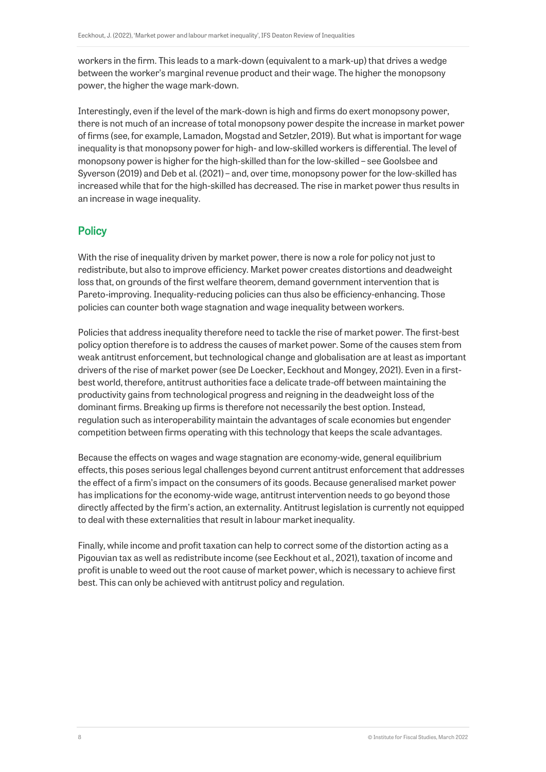workers in the firm. This leads to a mark-down (equivalent to a mark-up) that drives a wedge between the worker's marginal revenue product and their wage. The higher the monopsony power, the higher the wage mark-down.

Interestingly, even if the level of the mark-down is high and firms do exert monopsony power, there is not much of an increase of total monopsony power despite the increase in market power of firms (see, for example, Lamadon, Mogstad and Setzler, 2019). But what is important for wage inequality is that monopsony power for high- and low-skilled workers is differential. The level of monopsony power is higher for the high-skilled than for the low-skilled – see Goolsbee and Syverson (2019) and Deb et al. (2021) – and, over time, monopsony power for the low-skilled has increased while that for the high-skilled has decreased. The rise in market power thus results in an increase in wage inequality.

## **Policy**

With the rise of inequality driven by market power, there is now a role for policy not just to redistribute, but also to improve efficiency. Market power creates distortions and deadweight loss that, on grounds of the first welfare theorem, demand government intervention that is Pareto-improving. Inequality-reducing policies can thus also be efficiency-enhancing. Those policies can counter both wage stagnation and wage inequality between workers.

Policies that address inequality therefore need to tackle the rise of market power. The first-best policy option therefore is to address the causes of market power. Some of the causes stem from weak antitrust enforcement, but technological change and globalisation are at least as important drivers of the rise of market power (see De Loecker, Eeckhout and Mongey, 2021). Even in a firstbest world, therefore, antitrust authorities face a delicate trade-off between maintaining the productivity gains from technological progress and reigning in the deadweight loss of the dominant firms. Breaking up firms is therefore not necessarily the best option. Instead, regulation such as interoperability maintain the advantages of scale economies but engender competition between firms operating with this technology that keeps the scale advantages.

Because the effects on wages and wage stagnation are economy-wide, general equilibrium effects, this poses serious legal challenges beyond current antitrust enforcement that addresses the effect of a firm's impact on the consumers of its goods. Because generalised market power has implications for the economy-wide wage, antitrust intervention needs to go beyond those directly affected by the firm's action, an externality. Antitrust legislation is currently not equipped to deal with these externalities that result in labour market inequality.

Finally, while income and profit taxation can help to correct some of the distortion acting as a Pigouvian tax as well as redistribute income (see Eeckhout et al., 2021), taxation of income and profit is unable to weed out the root cause of market power, which is necessary to achieve first best. This can only be achieved with antitrust policy and regulation.